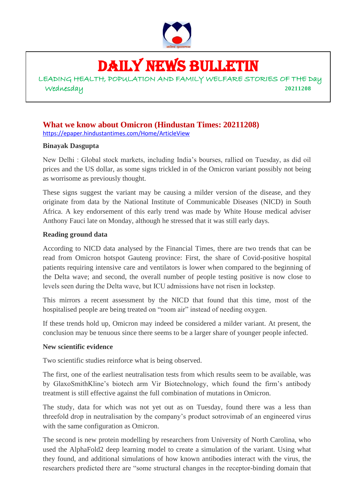

# DAILY NEWS BULLETIN

LEADING HEALTH, POPULATION AND FAMILY WELFARE STORIES OF THE Day Wednesday **20211208**

#### **What we know about Omicron** (**Hindustan Times: 20211208**) <https://epaper.hindustantimes.com/Home/ArticleView>

#### **Binayak Dasgupta**

New Delhi : Global stock markets, including India's bourses, rallied on Tuesday, as did oil prices and the US dollar, as some signs trickled in of the Omicron variant possibly not being as worrisome as previously thought.

These signs suggest the variant may be causing a milder version of the disease, and they originate from data by the National Institute of Communicable Diseases (NICD) in South Africa. A key endorsement of this early trend was made by White House medical adviser Anthony Fauci late on Monday, although he stressed that it was still early days.

#### **Reading ground data**

According to NICD data analysed by the Financial Times, there are two trends that can be read from Omicron hotspot Gauteng province: First, the share of Covid-positive hospital patients requiring intensive care and ventilators is lower when compared to the beginning of the Delta wave; and second, the overall number of people testing positive is now close to levels seen during the Delta wave, but ICU admissions have not risen in lockstep.

This mirrors a recent assessment by the NICD that found that this time, most of the hospitalised people are being treated on "room air" instead of needing oxygen.

If these trends hold up, Omicron may indeed be considered a milder variant. At present, the conclusion may be tenuous since there seems to be a larger share of younger people infected.

#### **New scientific evidence**

Two scientific studies reinforce what is being observed.

The first, one of the earliest neutralisation tests from which results seem to be available, was by GlaxoSmithKline's biotech arm Vir Biotechnology, which found the firm's antibody treatment is still effective against the full combination of mutations in Omicron.

The study, data for which was not yet out as on Tuesday, found there was a less than threefold drop in neutralisation by the company's product sotrovimab of an engineered virus with the same configuration as Omicron.

The second is new protein modelling by researchers from University of North Carolina, who used the AlphaFold2 deep learning model to create a simulation of the variant. Using what they found, and additional simulations of how known antibodies interact with the virus, the researchers predicted there are "some structural changes in the receptor-binding domain that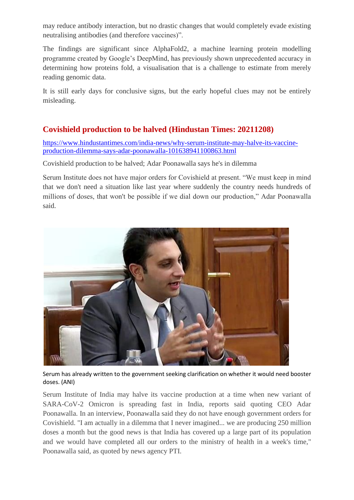may reduce antibody interaction, but no drastic changes that would completely evade existing neutralising antibodies (and therefore vaccines)".

The findings are significant since AlphaFold2, a machine learning protein modelling programme created by Google's DeepMind, has previously shown unprecedented accuracy in determining how proteins fold, a visualisation that is a challenge to estimate from merely reading genomic data.

It is still early days for conclusive signs, but the early hopeful clues may not be entirely misleading.

## **Covishield production to be halved (Hindustan Times: 20211208)**

[https://www.hindustantimes.com/india-news/why-serum-institute-may-halve-its-vaccine](https://www.hindustantimes.com/india-news/why-serum-institute-may-halve-its-vaccine-production-dilemma-says-adar-poonawalla-101638941100863.html)[production-dilemma-says-adar-poonawalla-101638941100863.html](https://www.hindustantimes.com/india-news/why-serum-institute-may-halve-its-vaccine-production-dilemma-says-adar-poonawalla-101638941100863.html)

Covishield production to be halved; Adar Poonawalla says he's in dilemma

Serum Institute does not have major orders for Covishield at present. "We must keep in mind that we don't need a situation like last year where suddenly the country needs hundreds of millions of doses, that won't be possible if we dial down our production," Adar Poonawalla said.



Serum has already written to the government seeking clarification on whether it would need booster doses. (ANI)

Serum Institute of India may halve its vaccine production at a time when new variant of SARA-CoV-2 Omicron is spreading fast in India, reports said quoting CEO Adar Poonawalla. In an interview, Poonawalla said they do not have enough government orders for Covishield. "I am actually in a dilemma that I never imagined... we are producing 250 million doses a month but the good news is that India has covered up a large part of its population and we would have completed all our orders to the ministry of health in a week's time," Poonawalla said, as quoted by news agency PTI.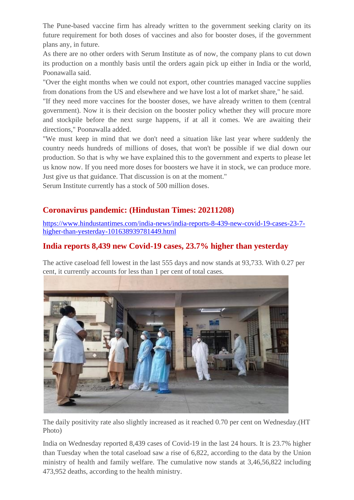The Pune-based vaccine firm has already written to the government seeking clarity on its future requirement for both doses of vaccines and also for booster doses, if the government plans any, in future.

As there are no other orders with Serum Institute as of now, the company plans to cut down its production on a monthly basis until the orders again pick up either in India or the world, Poonawalla said.

"Over the eight months when we could not export, other countries managed vaccine supplies from donations from the US and elsewhere and we have lost a lot of market share," he said.

"If they need more vaccines for the booster doses, we have already written to them (central government). Now it is their decision on the booster policy whether they will procure more and stockpile before the next surge happens, if at all it comes. We are awaiting their directions," Poonawalla added.

"We must keep in mind that we don't need a situation like last year where suddenly the country needs hundreds of millions of doses, that won't be possible if we dial down our production. So that is why we have explained this to the government and experts to please let us know now. If you need more doses for boosters we have it in stock, we can produce more. Just give us that guidance. That discussion is on at the moment."

Serum Institute currently has a stock of 500 million doses.

## **Coronavirus pandemic: (Hindustan Times: 20211208)**

[https://www.hindustantimes.com/india-news/india-reports-8-439-new-covid-19-cases-23-7](https://www.hindustantimes.com/india-news/india-reports-8-439-new-covid-19-cases-23-7-higher-than-yesterday-101638939781449.html) [higher-than-yesterday-101638939781449.html](https://www.hindustantimes.com/india-news/india-reports-8-439-new-covid-19-cases-23-7-higher-than-yesterday-101638939781449.html)

## **India reports 8,439 new Covid-19 cases, 23.7% higher than yesterday**

The active caseload fell lowest in the last 555 days and now stands at 93,733. With 0.27 per cent, it currently accounts for less than 1 per cent of total cases.



The daily positivity rate also slightly increased as it reached 0.70 per cent on Wednesday.(HT Photo)

India on Wednesday reported 8,439 cases of Covid-19 in the last 24 hours. It is 23.7% higher than Tuesday when the total caseload saw a rise of 6,822, according to the data by the Union ministry of health and family welfare. The cumulative now stands at 3,46,56,822 including 473,952 deaths, according to the health ministry.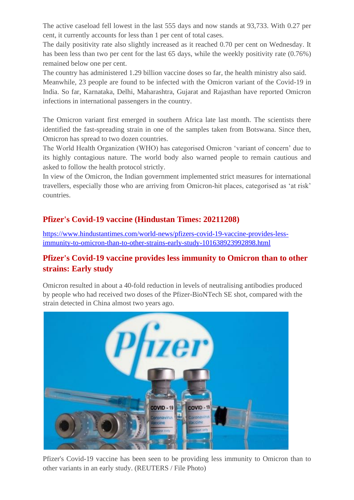The active caseload fell lowest in the last 555 days and now stands at 93,733. With 0.27 per cent, it currently accounts for less than 1 per cent of total cases.

The daily positivity rate also slightly increased as it reached 0.70 per cent on Wednesday. It has been less than two per cent for the last 65 days, while the weekly positivity rate (0.76%) remained below one per cent.

The country has administered 1.29 billion vaccine doses so far, the health ministry also said.

Meanwhile, 23 people are found to be infected with the Omicron variant of the Covid-19 in India. So far, Karnataka, Delhi, Maharashtra, Gujarat and Rajasthan have reported Omicron infections in international passengers in the country.

The Omicron variant first emerged in southern Africa late last month. The scientists there identified the fast-spreading strain in one of the samples taken from Botswana. Since then, Omicron has spread to two dozen countries.

The World Health Organization (WHO) has categorised Omicron 'variant of concern' due to its highly contagious nature. The world body also warned people to remain cautious and asked to follow the health protocol strictly.

In view of the Omicron, the Indian government implemented strict measures for international travellers, especially those who are arriving from Omicron-hit places, categorised as 'at risk' countries.

## **Pfizer's Covid-19 vaccine (Hindustan Times: 20211208)**

[https://www.hindustantimes.com/world-news/pfizers-covid-19-vaccine-provides-less](https://www.hindustantimes.com/world-news/pfizers-covid-19-vaccine-provides-less-immunity-to-omicron-than-to-other-strains-early-study-101638923992898.html)[immunity-to-omicron-than-to-other-strains-early-study-101638923992898.html](https://www.hindustantimes.com/world-news/pfizers-covid-19-vaccine-provides-less-immunity-to-omicron-than-to-other-strains-early-study-101638923992898.html)

## **Pfizer's Covid-19 vaccine provides less immunity to Omicron than to other strains: Early study**

Omicron resulted in about a 40-fold reduction in levels of neutralising antibodies produced by people who had received two doses of the Pfizer-BioNTech SE shot, compared with the strain detected in China almost two years ago.



Pfizer's Covid-19 vaccine has been seen to be providing less immunity to Omicron than to other variants in an early study. (REUTERS / File Photo)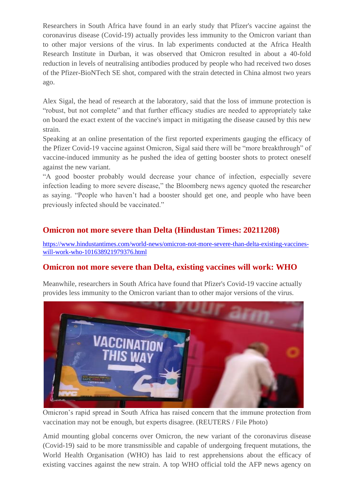Researchers in South Africa have found in an early study that Pfizer's vaccine against the coronavirus disease (Covid-19) actually provides less immunity to the Omicron variant than to other major versions of the virus. In lab experiments conducted at the Africa Health Research Institute in Durban, it was observed that Omicron resulted in about a 40-fold reduction in levels of neutralising antibodies produced by people who had received two doses of the Pfizer-BioNTech SE shot, compared with the strain detected in China almost two years ago.

Alex Sigal, the head of research at the laboratory, said that the loss of immune protection is "robust, but not complete" and that further efficacy studies are needed to appropriately take on board the exact extent of the vaccine's impact in mitigating the disease caused by this new strain.

Speaking at an online presentation of the first reported experiments gauging the efficacy of the Pfizer Covid-19 vaccine against Omicron, Sigal said there will be "more breakthrough" of vaccine-induced immunity as he pushed the idea of getting booster shots to protect oneself against the new variant.

"A good booster probably would decrease your chance of infection, especially severe infection leading to more severe disease," the Bloomberg news agency quoted the researcher as saying. "People who haven't had a booster should get one, and people who have been previously infected should be vaccinated."

## **Omicron not more severe than Delta (Hindustan Times: 20211208)**

[https://www.hindustantimes.com/world-news/omicron-not-more-severe-than-delta-existing-vaccines](https://www.hindustantimes.com/world-news/omicron-not-more-severe-than-delta-existing-vaccines-will-work-who-101638921979376.html)[will-work-who-101638921979376.html](https://www.hindustantimes.com/world-news/omicron-not-more-severe-than-delta-existing-vaccines-will-work-who-101638921979376.html)

## **Omicron not more severe than Delta, existing vaccines will work: WHO**

Meanwhile, researchers in South Africa have found that Pfizer's Covid-19 vaccine actually provides less immunity to the Omicron variant than to other major versions of the virus.



Omicron's rapid spread in South Africa has raised concern that the immune protection from vaccination may not be enough, but experts disagree. (REUTERS / File Photo)

Amid mounting global concerns over Omicron, the new variant of the coronavirus disease (Covid-19) said to be more transmissible and capable of undergoing frequent mutations, the World Health Organisation (WHO) has laid to rest apprehensions about the efficacy of existing vaccines against the new strain. A top WHO official told the AFP news agency on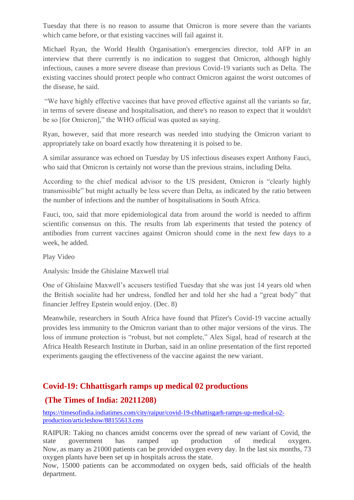Tuesday that there is no reason to assume that Omicron is more severe than the variants which came before, or that existing vaccines will fail against it.

Michael Ryan, the World Health Organisation's emergencies director, told AFP in an interview that there currently is no indication to suggest that Omicron, although highly infectious, causes a more severe disease than previous Covid-19 variants such as Delta. The existing vaccines should protect people who contract Omicron against the worst outcomes of the disease, he said.

"We have highly effective vaccines that have proved effective against all the variants so far, in terms of severe disease and hospitalisation, and there's no reason to expect that it wouldn't be so [for Omicron]," the WHO official was quoted as saying.

Ryan, however, said that more research was needed into studying the Omicron variant to appropriately take on board exactly how threatening it is poised to be.

A similar assurance was echoed on Tuesday by US infectious diseases expert Anthony Fauci, who said that Omicron is [certainly not worse](https://www.hindustantimes.com/world-news/omicron-versus-delta-fauci-breaks-down-what-is-known-and-what-s-unknown-101638921832741.html) than the previous strains, including Delta.

According to the chief medical advisor to the US president, Omicron is "clearly highly transmissible" but might actually be less severe than Delta, as indicated by the ratio between the number of infections and the number of hospitalisations in South Africa.

Fauci, too, said that more epidemiological data from around the world is needed to affirm scientific consensus on this. The results from lab experiments that tested the potency of antibodies from current vaccines against Omicron should come in the next few days to a week, he added.

Play Video

Analysis: Inside the Ghislaine Maxwell trial

One of Ghislaine Maxwell's accusers testified Tuesday that she was just 14 years old when the British socialite had her undress, fondled her and told her she had a "great body" that financier Jeffrey Epstein would enjoy. (Dec. 8)

Meanwhile, researchers in South Africa have found that Pfizer's Covid-19 vaccine actually provides less immunity to the Omicron variant than to other major versions of the virus. The loss of immune protection is "robust, but not complete," Alex Sigal, head of research at the Africa Health Research Institute in Durban, said in an online presentation of the first reported experiments gauging the effectiveness of the vaccine against the new variant.

## **Covid-19: Chhattisgarh ramps up medical 02 productions**

## **(The Times of India: 20211208)**

[https://timesofindia.indiatimes.com/city/raipur/covid-19-chhattisgarh-ramps-up-medical-o2](https://timesofindia.indiatimes.com/city/raipur/covid-19-chhattisgarh-ramps-up-medical-o2-production/articleshow/88155613.cms) [production/articleshow/88155613.cms](https://timesofindia.indiatimes.com/city/raipur/covid-19-chhattisgarh-ramps-up-medical-o2-production/articleshow/88155613.cms)

RAIPUR: Taking no chances amidst concerns over the spread of new variant of Covid, the state government has ramped up production of medical oxygen. Now, as many as 21000 patients can be provided oxygen every day. In the last six months, 73 oxygen plants have been set up in hospitals across the state.

Now, 15000 patients can be accommodated on oxygen beds, said officials of the health department.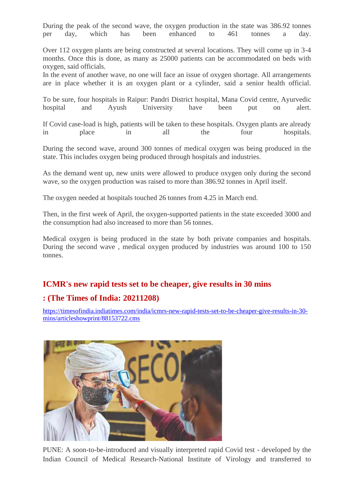During the peak of the second wave, the oxygen production in the state was 386.92 tonnes per day, which has been enhanced to 461 tonnes a day.

Over 112 oxygen plants are being constructed at several locations. They will come up in 3-4 months. Once this is done, as many as 25000 patients can be accommodated on beds with oxygen, said officials.

In the event of another wave, no one will face an issue of oxygen shortage. All arrangements are in place whether it is an oxygen plant or a cylinder, said a senior health official.

To be sure, four hospitals in Raipur: Pandri District hospital, Mana Covid centre, Ayurvedic hospital and Ayush University have been put on alert.

If Covid case-load is high, patients will be taken to these hospitals. Oxygen plants are already in place in all the four hospitals.

During the second wave, around 300 tonnes of medical oxygen was being produced in the state. This includes oxygen being produced through hospitals and industries.

As the demand went up, new units were allowed to produce oxygen only during the second wave, so the oxygen production was raised to more than 386.92 tonnes in April itself.

The oxygen needed at hospitals touched 26 tonnes from 4.25 in March end.

Then, in the first week of April, the oxygen-supported patients in the state exceeded 3000 and the consumption had also increased to more than 56 tonnes.

Medical oxygen is being produced in the state by both private companies and hospitals. During the second wave , medical oxygen produced by industries was around 100 to 150 tonnes.

## **ICMR's new rapid tests set to be cheaper, give results in 30 mins**

#### **: (The Times of India: 20211208)**

[https://timesofindia.indiatimes.com/india/icmrs-new-rapid-tests-set-to-be-cheaper-give-results-in-30](https://timesofindia.indiatimes.com/india/icmrs-new-rapid-tests-set-to-be-cheaper-give-results-in-30-mins/articleshowprint/88153722.cms) [mins/articleshowprint/88153722.cms](https://timesofindia.indiatimes.com/india/icmrs-new-rapid-tests-set-to-be-cheaper-give-results-in-30-mins/articleshowprint/88153722.cms)



PUNE: A soon-to-be-introduced and visually interpreted rapid Covid test - developed by the Indian Council of Medical Research-National Institute of Virology and transferred to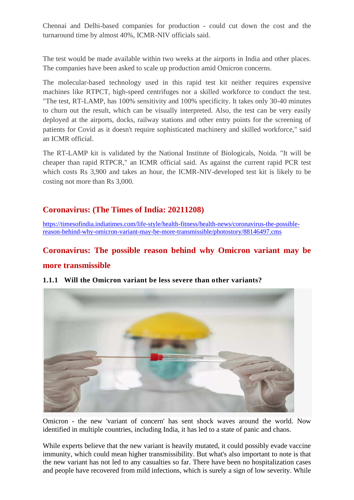Chennai and Delhi-based companies for production - could cut down the cost and the turnaround time by almost 40%, ICMR-NIV officials said.

The test would be made available within two weeks at the airports in India and other places. The companies have been asked to scale up production amid Omicron concerns.

The molecular-based technology used in this rapid test kit neither requires expensive machines like RTPCT, high-speed centrifuges nor a skilled workforce to conduct the test. "The test, RT-LAMP, has 100% sensitivity and 100% specificity. It takes only 30-40 minutes to churn out the result, which can be visually interpreted. Also, the test can be very easily deployed at the airports, docks, railway stations and other entry points for the screening of patients for Covid as it doesn't require sophisticated machinery and skilled workforce," said an ICMR official.

The RT-LAMP kit is validated by the National Institute of Biologicals, Noida. "It will be cheaper than rapid RTPCR," an ICMR official said. As against the current rapid PCR test which costs Rs 3,900 and takes an hour, the ICMR-NIV-developed test kit is likely to be costing not more than Rs 3,000.

## **Coronavirus: (The Times of India: 20211208)**

[https://timesofindia.indiatimes.com/life-style/health-fitness/health-news/coronavirus-the-possible](https://timesofindia.indiatimes.com/life-style/health-fitness/health-news/coronavirus-the-possible-reason-behind-why-omicron-variant-may-be-more-transmissible/photostory/88146497.cms)[reason-behind-why-omicron-variant-may-be-more-transmissible/photostory/88146497.cms](https://timesofindia.indiatimes.com/life-style/health-fitness/health-news/coronavirus-the-possible-reason-behind-why-omicron-variant-may-be-more-transmissible/photostory/88146497.cms)

### **Coronavirus: The possible reason behind why Omicron variant may be**

#### **more transmissible**



#### **1.1.1 Will the Omicron variant be less severe than other variants?**

Omicron - the new 'variant of concern' has sent shock waves around the world. Now identified in multiple countries, including India, it has led to a state of panic and chaos.

While experts believe that the new variant is heavily mutated, it could possibly evade vaccine immunity, which could mean higher transmissibility. But what's also important to note is that the new variant has not led to any casualties so far. There have been no hospitalization cases and people have recovered from mild infections, which is surely a sign of low severity. While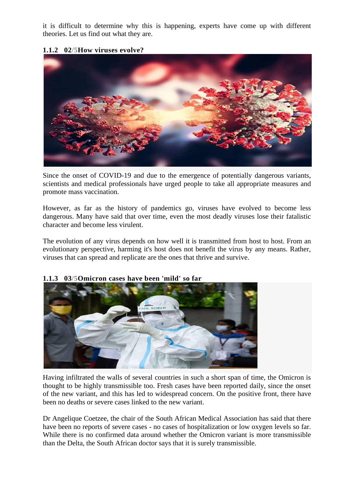it is difficult to determine why this is happening, experts have come up with different theories. Let us find out what they are.

#### **1.1.2 02/5How viruses evolve?**



Since the onset of COVID-19 and due to the emergence of potentially dangerous variants, scientists and medical professionals have urged people to take all appropriate measures and promote mass vaccination.

However, as far as the history of pandemics go, viruses have evolved to become less dangerous. Many have said that over time, even the most deadly viruses lose their fatalistic character and become less virulent.

The evolution of any virus depends on how well it is transmitted from host to host. From an evolutionary perspective, harming it's host does not benefit the virus by any means. Rather, viruses that can spread and replicate are the ones that thrive and survive.



#### **1.1.3 03/5Omicron cases have been 'mild' so far**

Having infiltrated the walls of several countries in such a short span of time, the Omicron is thought to be highly transmissible too. Fresh cases have been reported daily, since the onset of the new variant, and this has led to widespread concern. On the positive front, there have been no deaths or severe cases linked to the new variant.

Dr Angelique Coetzee, the chair of the South African Medical Association has said that there have been no reports of severe cases - no cases of hospitalization or low oxygen levels so far. While there is no confirmed data around whether the Omicron variant is more transmissible than the Delta, the South African doctor says that it is surely transmissible.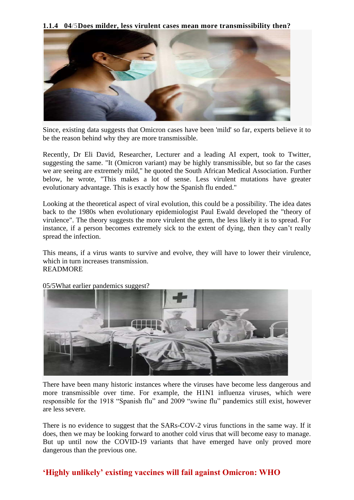**1.1.4 04/5Does milder, less virulent cases mean more transmissibility then?**



Since, existing data suggests that Omicron cases have been 'mild' so far, experts believe it to be the reason behind why they are more transmissible.

Recently, Dr Eli David, Researcher, Lecturer and a leading AI expert, took to Twitter, suggesting the same. "It (Omicron variant) may be highly transmissible, but so far the cases we are seeing are extremely mild," he quoted the South African Medical Association. Further below, he wrote, "This makes a lot of sense. Less virulent mutations have greater evolutionary advantage. This is exactly how the Spanish flu ended."

Looking at the theoretical aspect of viral evolution, this could be a possibility. The idea dates back to the 1980s when evolutionary epidemiologist Paul Ewald developed the "theory of virulence". The theory suggests the more virulent the germ, the less likely it is to spread. For instance, if a person becomes extremely sick to the extent of dying, then they can't really spread the infection.

This means, if a virus wants to survive and evolve, they will have to lower their virulence, which in turn increases transmission. [READMORE](javascript://)



05/5What earlier pandemics suggest?

There have been many historic instances where the viruses have become less dangerous and more transmissible over time. For example, the H1N1 influenza viruses, which were responsible for the 1918 "Spanish flu" and 2009 "swine flu" pandemics still exist, however are less severe.

There is no evidence to suggest that the SARs-COV-2 virus functions in the same way. If it does, then we may be looking forward to another cold virus that will become easy to manage. But up until now the COVID-19 variants that have emerged have only proved more dangerous than the previous one.

## **'Highly unlikely' existing vaccines will fail against Omicron: WHO**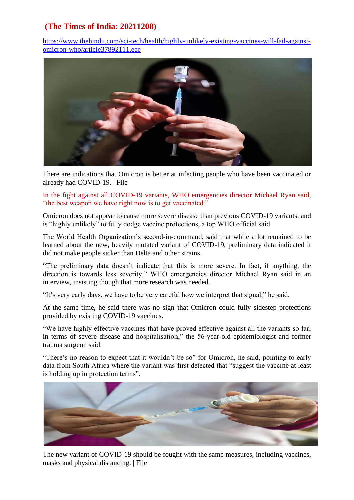## **(The Times of India: 20211208)**

[https://www.thehindu.com/sci-tech/health/highly-unlikely-existing-vaccines-will-fail-against](https://www.thehindu.com/sci-tech/health/highly-unlikely-existing-vaccines-will-fail-against-omicron-who/article37892111.ece)[omicron-who/article37892111.ece](https://www.thehindu.com/sci-tech/health/highly-unlikely-existing-vaccines-will-fail-against-omicron-who/article37892111.ece)



There are indications that Omicron is better at infecting people who have been vaccinated or already had COVID-19. | File

In the fight against all COVID-19 variants, WHO emergencies director Michael Ryan said, "the best weapon we have right now is to get vaccinated."

Omicron does not appear to cause more severe disease than previous COVID-19 variants, and is "highly unlikely" to fully dodge vaccine protections, a top WHO official said.

The World Health Organization's second-in-command, said that while a lot remained to be learned about the new, heavily mutated variant of COVID-19, preliminary data indicated it did not make people sicker than Delta and other strains.

"The preliminary data doesn't indicate that this is more severe. In fact, if anything, the direction is towards less severity," WHO emergencies director Michael Ryan said in an interview, insisting though that more research was needed.

"It's very early days, we have to be very careful how we interpret that signal," he said.

At the same time, he said there was no sign that Omicron could fully sidestep protections provided by existing COVID-19 vaccines.

"We have highly effective vaccines that have proved effective against all the variants so far, in terms of severe disease and hospitalisation," the 56-year-old epidemiologist and former trauma surgeon said.

"There's no reason to expect that it wouldn't be so" for Omicron, he said, pointing to early data from South Africa where the variant was first detected that "suggest the vaccine at least is holding up in protection terms".



The new variant of COVID-19 should be fought with the same measures, including vaccines, masks and physical distancing. | File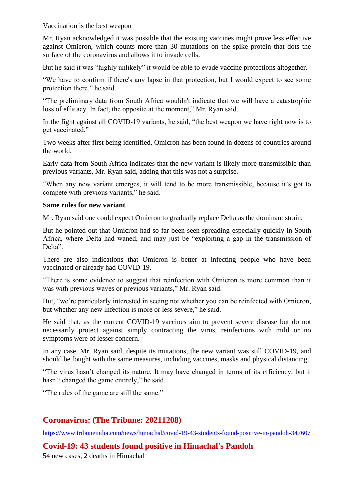Vaccination is the best weapon

Mr. Ryan acknowledged it was possible that the existing vaccines might prove less effective against Omicron, which counts more than 30 mutations on the spike protein that dots the surface of the coronavirus and allows it to invade cells.

But he said it was "highly unlikely" it would be able to evade vaccine protections altogether.

"We have to confirm if there's any lapse in that protection, but I would expect to see some protection there," he said.

"The preliminary data from South Africa wouldn't indicate that we will have a catastrophic loss of efficacy. In fact, the opposite at the moment," Mr. Ryan said.

In the fight against all COVID-19 variants, he said, "the best weapon we have right now is to get vaccinated."

Two weeks after first being identified, Omicron has been found in dozens of countries around the world.

Early data from South Africa indicates that the new variant is likely more transmissible than previous variants, Mr. Ryan said, adding that this was not a surprise.

"When any new variant emerges, it will tend to be more transmissible, because it's got to compete with previous variants," he said.

#### **Same rules for new variant**

Mr. Ryan said one could expect Omicron to gradually replace Delta as the dominant strain.

But he pointed out that Omicron had so far been seen spreading especially quickly in South Africa, where Delta had waned, and may just be "exploiting a gap in the transmission of Delta".

There are also indications that Omicron is better at infecting people who have been vaccinated or already had COVID-19.

"There is some evidence to suggest that reinfection with Omicron is more common than it was with previous waves or previous variants," Mr. Ryan said.

But, "we're particularly interested in seeing not whether you can be reinfected with Omicron, but whether any new infection is more or less severe," he said.

He said that, as the current COVID-19 vaccines aim to prevent severe disease but do not necessarily protect against simply contracting the virus, reinfections with mild or no symptoms were of lesser concern.

In any case, Mr. Ryan said, despite its mutations, the new variant was still COVID-19, and should be fought with the same measures, including vaccines, masks and physical distancing.

"The virus hasn't changed its nature. It may have changed in terms of its efficiency, but it hasn't changed the game entirely," he said.

"The rules of the game are still the same."

## **Coronavirus: (The Tribune: 20211208)**

<https://www.tribuneindia.com/news/himachal/covid-19-43-students-found-positive-in-pandoh-347607>

**Covid-19: 43 students found positive in Himachal's Pandoh**

54 new cases, 2 deaths in Himachal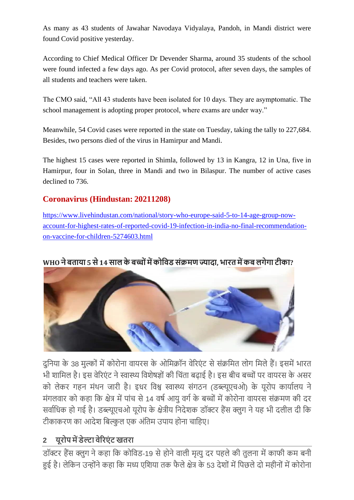As many as 43 students of Jawahar Navodaya Vidyalaya, Pandoh, in Mandi district were found Covid positive yesterday.

According to Chief Medical Officer Dr Devender Sharma, around 35 students of the school were found infected a few days ago. As per Covid protocol, after seven days, the samples of all students and teachers were taken.

The CMO said, "All 43 students have been isolated for 10 days. They are asymptomatic. The school management is adopting proper protocol, where exams are under way."

Meanwhile, 54 Covid cases were reported in the state on Tuesday, taking the tally to 227,684. Besides, two persons died of the virus in Hamirpur and Mandi.

The highest 15 cases were reported in Shimla, followed by 13 in Kangra, 12 in Una, five in Hamirpur, four in Solan, three in Mandi and two in Bilaspur. The number of active cases declined to 736.

## **Coronavirus (Hindustan: 20211208)**

[https://www.livehindustan.com/national/story-who-europe-said-5-to-14-age-group-now](https://www.livehindustan.com/national/story-who-europe-said-5-to-14-age-group-now-account-for-highest-rates-of-reported-covid-19-infection-in-india-no-final-recommendation-on-vaccine-for-children-5274603.html)[account-for-highest-rates-of-reported-covid-19-infection-in-india-no-final-recommendation](https://www.livehindustan.com/national/story-who-europe-said-5-to-14-age-group-now-account-for-highest-rates-of-reported-covid-19-infection-in-india-no-final-recommendation-on-vaccine-for-children-5274603.html)[on-vaccine-for-children-5274603.html](https://www.livehindustan.com/national/story-who-europe-said-5-to-14-age-group-now-account-for-highest-rates-of-reported-covid-19-infection-in-india-no-final-recommendation-on-vaccine-for-children-5274603.html)

## **WHO नेबताया 5 से14 साल केबच्च ोंमेंकचविड सोंक्रमणज्यादा, भारत मेंकब लगेगा टीका?**



दुनिया के 38 मुल्कों में कोरोना वायरस के ओमिक्रॉन वेरिएंट से संक्रमित लोग मिले हैं। इसमें भारत भी शामिल है। इस वेरिएंट ने स्वास्थ्य विशेषज्ञों की चिंता बढाई है। इस बीच बच्चों पर वायरस के असर को लेकर गहन मंथन जारी है। इधर विश्व स्वास्थ्य संगठन (डब्ल्यूएचओ) के यूरोप कार्यालय ने मंगलवार को कहा कि क्षेत्र में पांच से 14 वर्ष आयु वर्ग के बच्चों में कोरोना वायरस संक्रमण की दर सर्वाधिक हो गई है। डब्ल्यूएचओ यूरोप के क्षेत्रीय निदेशक डॉक्टर हैंस क्लुग ने यह भी दलील दी कि टीकाकरण का आदेश बिल्कुल एक अंतिम उपाय होना चाहिए।

# **2 यूरचप मेंडेल्टा िेररएों ट खतरा**

डॉक्टर हैंस क्लुग ने कहा कि कोविड-19 से होने वाली मृत्यु दर पहले की तुलना में काफी कम बनी हुई है। लेकिन उन्होंने कहा कि मध्य एशिया तक फैले क्षेत्र के 53 देशों में पिछले दो महीनों में कोरोना